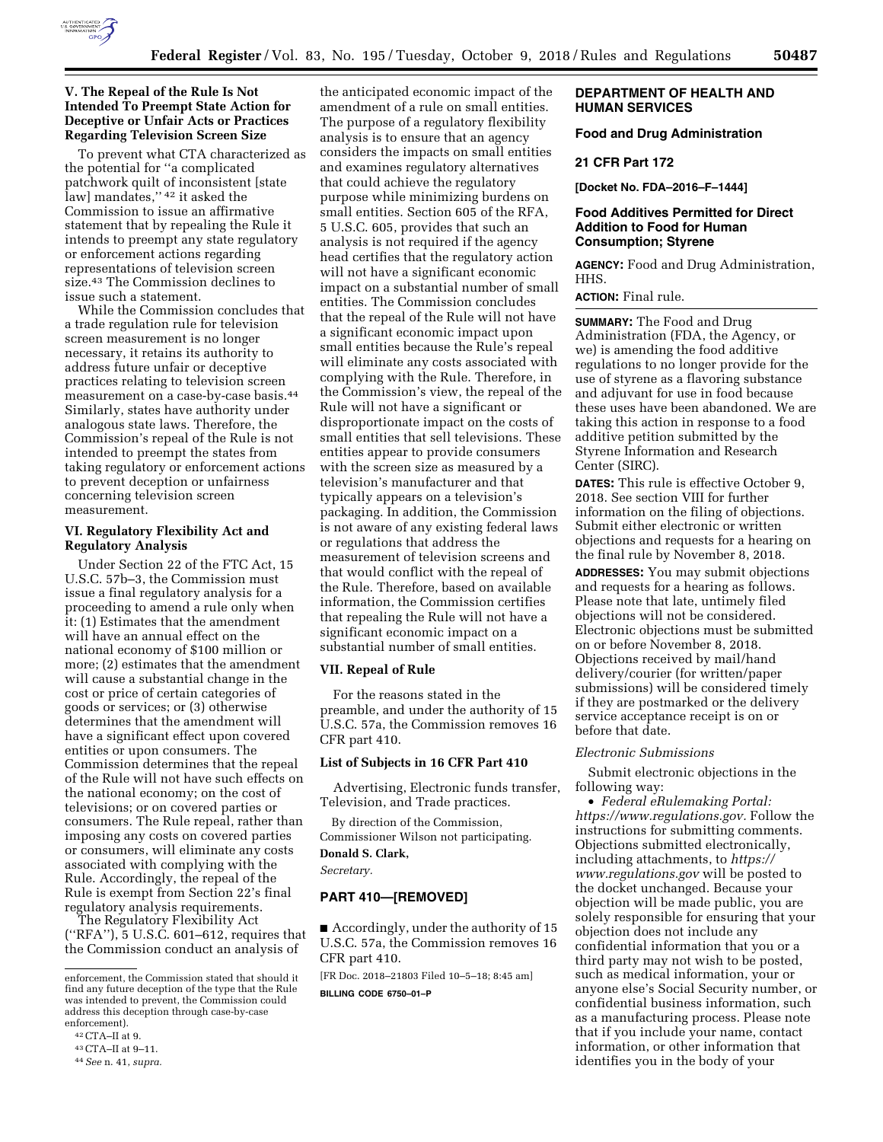

# **V. The Repeal of the Rule Is Not Intended To Preempt State Action for Deceptive or Unfair Acts or Practices Regarding Television Screen Size**

To prevent what CTA characterized as the potential for ''a complicated patchwork quilt of inconsistent [state law] mandates," 42 it asked the Commission to issue an affirmative statement that by repealing the Rule it intends to preempt any state regulatory or enforcement actions regarding representations of television screen size.43 The Commission declines to issue such a statement.

While the Commission concludes that a trade regulation rule for television screen measurement is no longer necessary, it retains its authority to address future unfair or deceptive practices relating to television screen measurement on a case-by-case basis.44 Similarly, states have authority under analogous state laws. Therefore, the Commission's repeal of the Rule is not intended to preempt the states from taking regulatory or enforcement actions to prevent deception or unfairness concerning television screen measurement.

# **VI. Regulatory Flexibility Act and Regulatory Analysis**

Under Section 22 of the FTC Act, 15 U.S.C. 57b–3, the Commission must issue a final regulatory analysis for a proceeding to amend a rule only when it: (1) Estimates that the amendment will have an annual effect on the national economy of \$100 million or more; (2) estimates that the amendment will cause a substantial change in the cost or price of certain categories of goods or services; or (3) otherwise determines that the amendment will have a significant effect upon covered entities or upon consumers. The Commission determines that the repeal of the Rule will not have such effects on the national economy; on the cost of televisions; or on covered parties or consumers. The Rule repeal, rather than imposing any costs on covered parties or consumers, will eliminate any costs associated with complying with the Rule. Accordingly, the repeal of the Rule is exempt from Section 22's final regulatory analysis requirements.

The Regulatory Flexibility Act (''RFA''), 5 U.S.C. 601–612, requires that the Commission conduct an analysis of

the anticipated economic impact of the amendment of a rule on small entities. The purpose of a regulatory flexibility analysis is to ensure that an agency considers the impacts on small entities and examines regulatory alternatives that could achieve the regulatory purpose while minimizing burdens on small entities. Section 605 of the RFA, 5 U.S.C. 605, provides that such an analysis is not required if the agency head certifies that the regulatory action will not have a significant economic impact on a substantial number of small entities. The Commission concludes that the repeal of the Rule will not have a significant economic impact upon small entities because the Rule's repeal will eliminate any costs associated with complying with the Rule. Therefore, in the Commission's view, the repeal of the Rule will not have a significant or disproportionate impact on the costs of small entities that sell televisions. These entities appear to provide consumers with the screen size as measured by a television's manufacturer and that typically appears on a television's packaging. In addition, the Commission is not aware of any existing federal laws or regulations that address the measurement of television screens and that would conflict with the repeal of the Rule. Therefore, based on available information, the Commission certifies that repealing the Rule will not have a significant economic impact on a substantial number of small entities.

# **VII. Repeal of Rule**

For the reasons stated in the preamble, and under the authority of 15 U.S.C. 57a, the Commission removes 16 CFR part 410.

# **List of Subjects in 16 CFR Part 410**

Advertising, Electronic funds transfer, Television, and Trade practices.

By direction of the Commission, Commissioner Wilson not participating. **Donald S. Clark,** 

*Secretary.* 

# **PART 410—[REMOVED]**

■ Accordingly, under the authority of 15 U.S.C. 57a, the Commission removes 16 CFR part 410.

[FR Doc. 2018–21803 Filed 10–5–18; 8:45 am] **BILLING CODE 6750–01–P** 

# **DEPARTMENT OF HEALTH AND HUMAN SERVICES**

# **Food and Drug Administration**

## **21 CFR Part 172**

**[Docket No. FDA–2016–F–1444]** 

# **Food Additives Permitted for Direct Addition to Food for Human Consumption; Styrene**

**AGENCY:** Food and Drug Administration, HHS.

**ACTION:** Final rule.

**SUMMARY:** The Food and Drug Administration (FDA, the Agency, or we) is amending the food additive regulations to no longer provide for the use of styrene as a flavoring substance and adjuvant for use in food because these uses have been abandoned. We are taking this action in response to a food additive petition submitted by the Styrene Information and Research Center (SIRC).

**DATES:** This rule is effective October 9, 2018. See section VIII for further information on the filing of objections. Submit either electronic or written objections and requests for a hearing on the final rule by November 8, 2018.

**ADDRESSES:** You may submit objections and requests for a hearing as follows. Please note that late, untimely filed objections will not be considered. Electronic objections must be submitted on or before November 8, 2018. Objections received by mail/hand delivery/courier (for written/paper submissions) will be considered timely if they are postmarked or the delivery service acceptance receipt is on or before that date.

## *Electronic Submissions*

Submit electronic objections in the following way:

• *Federal eRulemaking Portal: [https://www.regulations.gov.](https://www.regulations.gov)* Follow the instructions for submitting comments. Objections submitted electronically, including attachments, to *[https://](https://www.regulations.gov) [www.regulations.gov](https://www.regulations.gov)* will be posted to the docket unchanged. Because your objection will be made public, you are solely responsible for ensuring that your objection does not include any confidential information that you or a third party may not wish to be posted, such as medical information, your or anyone else's Social Security number, or confidential business information, such as a manufacturing process. Please note that if you include your name, contact information, or other information that identifies you in the body of your

enforcement, the Commission stated that should it find any future deception of the type that the Rule was intended to prevent, the Commission could address this deception through case-by-case enforcement).

<sup>42</sup>CTA–II at 9.

<sup>43</sup>CTA–II at 9–11.

<sup>44</sup>*See* n. 41, *supra.*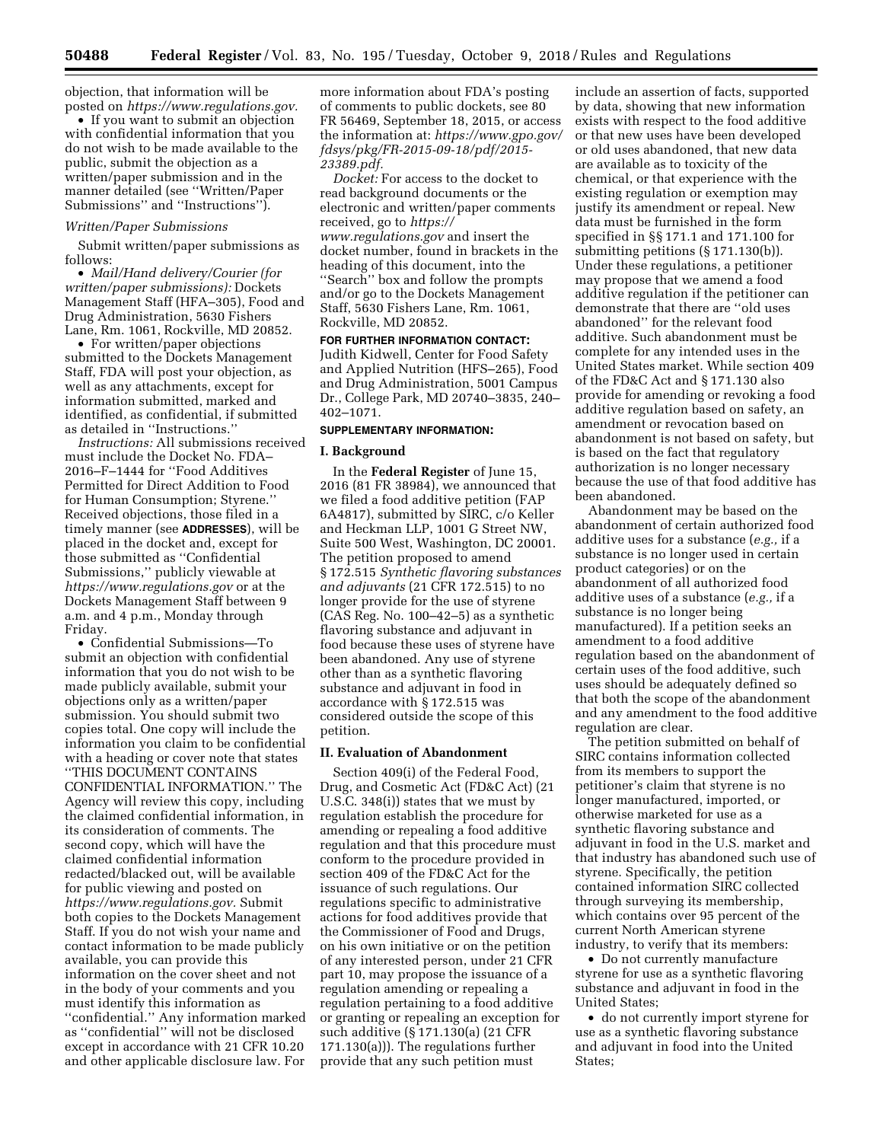objection, that information will be posted on *[https://www.regulations.gov.](https://www.regulations.gov)* 

• If you want to submit an objection with confidential information that you do not wish to be made available to the public, submit the objection as a written/paper submission and in the manner detailed (see ''Written/Paper Submissions'' and ''Instructions'').

# *Written/Paper Submissions*

Submit written/paper submissions as follows:

• *Mail/Hand delivery/Courier (for written/paper submissions):* Dockets Management Staff (HFA–305), Food and Drug Administration, 5630 Fishers Lane, Rm. 1061, Rockville, MD 20852.

• For written/paper objections submitted to the Dockets Management Staff, FDA will post your objection, as well as any attachments, except for information submitted, marked and identified, as confidential, if submitted as detailed in ''Instructions.''

*Instructions:* All submissions received must include the Docket No. FDA– 2016–F–1444 for ''Food Additives Permitted for Direct Addition to Food for Human Consumption; Styrene.'' Received objections, those filed in a timely manner (see **ADDRESSES**), will be placed in the docket and, except for those submitted as ''Confidential Submissions,'' publicly viewable at *<https://www.regulations.gov>* or at the Dockets Management Staff between 9 a.m. and 4 p.m., Monday through Friday.

• Confidential Submissions—To submit an objection with confidential information that you do not wish to be made publicly available, submit your objections only as a written/paper submission. You should submit two copies total. One copy will include the information you claim to be confidential with a heading or cover note that states ''THIS DOCUMENT CONTAINS CONFIDENTIAL INFORMATION.'' The Agency will review this copy, including the claimed confidential information, in its consideration of comments. The second copy, which will have the claimed confidential information redacted/blacked out, will be available for public viewing and posted on *[https://www.regulations.gov.](https://www.regulations.gov)* Submit both copies to the Dockets Management Staff. If you do not wish your name and contact information to be made publicly available, you can provide this information on the cover sheet and not in the body of your comments and you must identify this information as ''confidential.'' Any information marked as ''confidential'' will not be disclosed except in accordance with 21 CFR 10.20 and other applicable disclosure law. For

more information about FDA's posting of comments to public dockets, see 80 FR 56469, September 18, 2015, or access the information at: *[https://www.gpo.gov/](https://www.gpo.gov/fdsys/pkg/FR-2015-09-18/pdf/2015-23389.pdf) [fdsys/pkg/FR-2015-09-18/pdf/2015-](https://www.gpo.gov/fdsys/pkg/FR-2015-09-18/pdf/2015-23389.pdf)  [23389.pdf.](https://www.gpo.gov/fdsys/pkg/FR-2015-09-18/pdf/2015-23389.pdf)* 

*Docket:* For access to the docket to read background documents or the electronic and written/paper comments received, go to *[https://](https://www.regulations.gov) [www.regulations.gov](https://www.regulations.gov)* and insert the docket number, found in brackets in the heading of this document, into the ''Search'' box and follow the prompts and/or go to the Dockets Management Staff, 5630 Fishers Lane, Rm. 1061, Rockville, MD 20852.

# **FOR FURTHER INFORMATION CONTACT:**

Judith Kidwell, Center for Food Safety and Applied Nutrition (HFS–265), Food and Drug Administration, 5001 Campus Dr., College Park, MD 20740–3835, 240– 402–1071.

# **SUPPLEMENTARY INFORMATION:**

## **I. Background**

In the **Federal Register** of June 15, 2016 (81 FR 38984), we announced that we filed a food additive petition (FAP 6A4817), submitted by SIRC, c/o Keller and Heckman LLP, 1001 G Street NW, Suite 500 West, Washington, DC 20001. The petition proposed to amend § 172.515 *Synthetic flavoring substances and adjuvants* (21 CFR 172.515) to no longer provide for the use of styrene (CAS Reg. No. 100–42–5) as a synthetic flavoring substance and adjuvant in food because these uses of styrene have been abandoned. Any use of styrene other than as a synthetic flavoring substance and adjuvant in food in accordance with § 172.515 was considered outside the scope of this petition.

## **II. Evaluation of Abandonment**

Section 409(i) of the Federal Food, Drug, and Cosmetic Act (FD&C Act) (21 U.S.C. 348(i)) states that we must by regulation establish the procedure for amending or repealing a food additive regulation and that this procedure must conform to the procedure provided in section 409 of the FD&C Act for the issuance of such regulations. Our regulations specific to administrative actions for food additives provide that the Commissioner of Food and Drugs, on his own initiative or on the petition of any interested person, under 21 CFR part 10, may propose the issuance of a regulation amending or repealing a regulation pertaining to a food additive or granting or repealing an exception for such additive (§ 171.130(a) (21 CFR 171.130(a))). The regulations further provide that any such petition must

include an assertion of facts, supported by data, showing that new information exists with respect to the food additive or that new uses have been developed or old uses abandoned, that new data are available as to toxicity of the chemical, or that experience with the existing regulation or exemption may justify its amendment or repeal. New data must be furnished in the form specified in §§ 171.1 and 171.100 for submitting petitions (§ 171.130(b)). Under these regulations, a petitioner may propose that we amend a food additive regulation if the petitioner can demonstrate that there are ''old uses abandoned'' for the relevant food additive. Such abandonment must be complete for any intended uses in the United States market. While section 409 of the FD&C Act and § 171.130 also provide for amending or revoking a food additive regulation based on safety, an amendment or revocation based on abandonment is not based on safety, but is based on the fact that regulatory authorization is no longer necessary because the use of that food additive has been abandoned.

Abandonment may be based on the abandonment of certain authorized food additive uses for a substance (*e.g.,* if a substance is no longer used in certain product categories) or on the abandonment of all authorized food additive uses of a substance (*e.g.,* if a substance is no longer being manufactured). If a petition seeks an amendment to a food additive regulation based on the abandonment of certain uses of the food additive, such uses should be adequately defined so that both the scope of the abandonment and any amendment to the food additive regulation are clear.

The petition submitted on behalf of SIRC contains information collected from its members to support the petitioner's claim that styrene is no longer manufactured, imported, or otherwise marketed for use as a synthetic flavoring substance and adjuvant in food in the U.S. market and that industry has abandoned such use of styrene. Specifically, the petition contained information SIRC collected through surveying its membership, which contains over 95 percent of the current North American styrene industry, to verify that its members:

• Do not currently manufacture styrene for use as a synthetic flavoring substance and adjuvant in food in the United States;

• do not currently import styrene for use as a synthetic flavoring substance and adjuvant in food into the United States;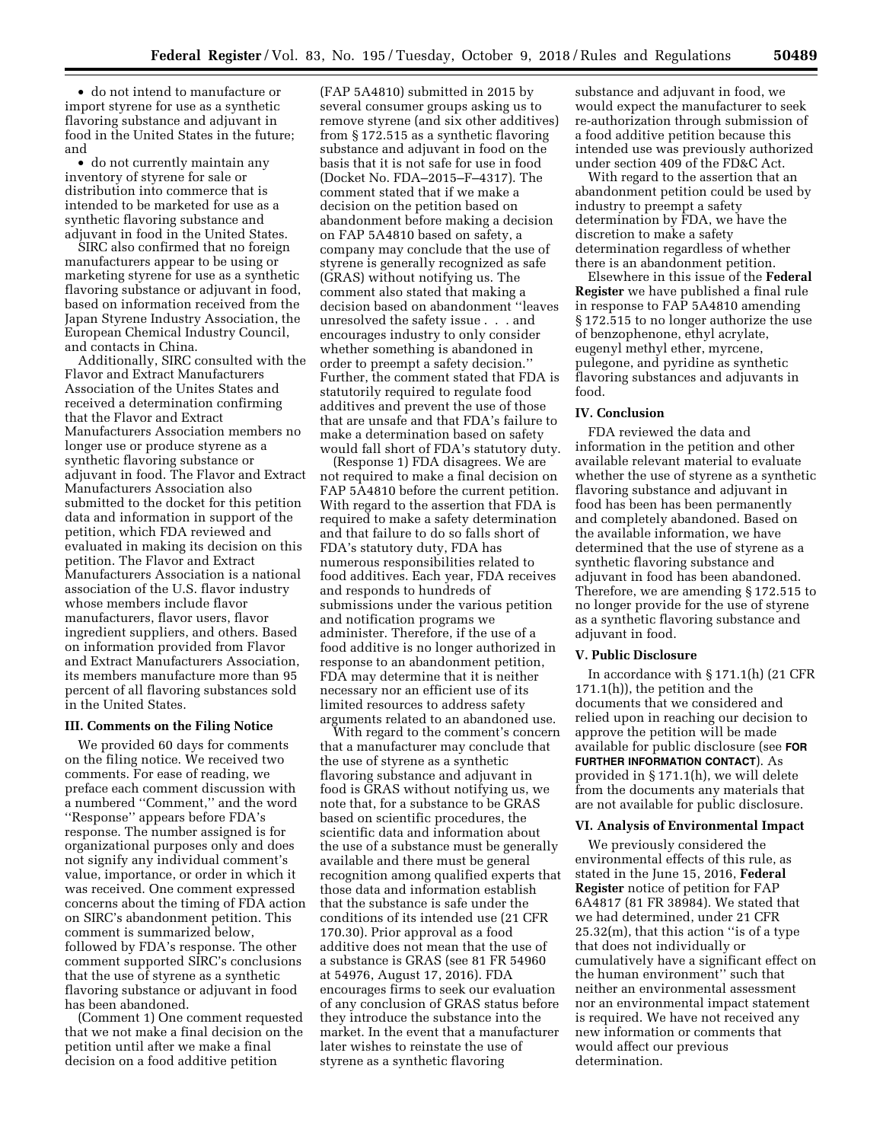• do not intend to manufacture or import styrene for use as a synthetic flavoring substance and adjuvant in food in the United States in the future; and

• do not currently maintain any inventory of styrene for sale or distribution into commerce that is intended to be marketed for use as a synthetic flavoring substance and adjuvant in food in the United States.

SIRC also confirmed that no foreign manufacturers appear to be using or marketing styrene for use as a synthetic flavoring substance or adjuvant in food, based on information received from the Japan Styrene Industry Association, the European Chemical Industry Council, and contacts in China.

Additionally, SIRC consulted with the Flavor and Extract Manufacturers Association of the Unites States and received a determination confirming that the Flavor and Extract Manufacturers Association members no longer use or produce styrene as a synthetic flavoring substance or adjuvant in food. The Flavor and Extract Manufacturers Association also submitted to the docket for this petition data and information in support of the petition, which FDA reviewed and evaluated in making its decision on this petition. The Flavor and Extract Manufacturers Association is a national association of the U.S. flavor industry whose members include flavor manufacturers, flavor users, flavor ingredient suppliers, and others. Based on information provided from Flavor and Extract Manufacturers Association, its members manufacture more than 95 percent of all flavoring substances sold in the United States.

#### **III. Comments on the Filing Notice**

We provided 60 days for comments on the filing notice. We received two comments. For ease of reading, we preface each comment discussion with a numbered ''Comment,'' and the word ''Response'' appears before FDA's response. The number assigned is for organizational purposes only and does not signify any individual comment's value, importance, or order in which it was received. One comment expressed concerns about the timing of FDA action on SIRC's abandonment petition. This comment is summarized below, followed by FDA's response. The other comment supported SIRC's conclusions that the use of styrene as a synthetic flavoring substance or adjuvant in food has been abandoned.

(Comment 1) One comment requested that we not make a final decision on the petition until after we make a final decision on a food additive petition

(FAP 5A4810) submitted in 2015 by several consumer groups asking us to remove styrene (and six other additives) from § 172.515 as a synthetic flavoring substance and adjuvant in food on the basis that it is not safe for use in food (Docket No. FDA–2015–F–4317). The comment stated that if we make a decision on the petition based on abandonment before making a decision on FAP 5A4810 based on safety, a company may conclude that the use of styrene is generally recognized as safe (GRAS) without notifying us. The comment also stated that making a decision based on abandonment ''leaves unresolved the safety issue . . . and encourages industry to only consider whether something is abandoned in order to preempt a safety decision.'' Further, the comment stated that FDA is statutorily required to regulate food additives and prevent the use of those that are unsafe and that FDA's failure to make a determination based on safety would fall short of FDA's statutory duty.

(Response 1) FDA disagrees. We are not required to make a final decision on FAP 5A4810 before the current petition. With regard to the assertion that FDA is required to make a safety determination and that failure to do so falls short of FDA's statutory duty, FDA has numerous responsibilities related to food additives. Each year, FDA receives and responds to hundreds of submissions under the various petition and notification programs we administer. Therefore, if the use of a food additive is no longer authorized in response to an abandonment petition, FDA may determine that it is neither necessary nor an efficient use of its limited resources to address safety arguments related to an abandoned use.

With regard to the comment's concern that a manufacturer may conclude that the use of styrene as a synthetic flavoring substance and adjuvant in food is GRAS without notifying us, we note that, for a substance to be GRAS based on scientific procedures, the scientific data and information about the use of a substance must be generally available and there must be general recognition among qualified experts that those data and information establish that the substance is safe under the conditions of its intended use (21 CFR 170.30). Prior approval as a food additive does not mean that the use of a substance is GRAS (see 81 FR 54960 at 54976, August 17, 2016). FDA encourages firms to seek our evaluation of any conclusion of GRAS status before they introduce the substance into the market. In the event that a manufacturer later wishes to reinstate the use of styrene as a synthetic flavoring

substance and adjuvant in food, we would expect the manufacturer to seek re-authorization through submission of a food additive petition because this intended use was previously authorized under section 409 of the FD&C Act.

With regard to the assertion that an abandonment petition could be used by industry to preempt a safety determination by FDA, we have the discretion to make a safety determination regardless of whether there is an abandonment petition.

Elsewhere in this issue of the **Federal Register** we have published a final rule in response to FAP 5A4810 amending § 172.515 to no longer authorize the use of benzophenone, ethyl acrylate, eugenyl methyl ether, myrcene, pulegone, and pyridine as synthetic flavoring substances and adjuvants in food.

#### **IV. Conclusion**

FDA reviewed the data and information in the petition and other available relevant material to evaluate whether the use of styrene as a synthetic flavoring substance and adjuvant in food has been has been permanently and completely abandoned. Based on the available information, we have determined that the use of styrene as a synthetic flavoring substance and adjuvant in food has been abandoned. Therefore, we are amending § 172.515 to no longer provide for the use of styrene as a synthetic flavoring substance and adjuvant in food.

#### **V. Public Disclosure**

In accordance with § 171.1(h) (21 CFR 171.1(h)), the petition and the documents that we considered and relied upon in reaching our decision to approve the petition will be made available for public disclosure (see **FOR FURTHER INFORMATION CONTACT**). As provided in § 171.1(h), we will delete from the documents any materials that are not available for public disclosure.

## **VI. Analysis of Environmental Impact**

We previously considered the environmental effects of this rule, as stated in the June 15, 2016, **Federal Register** notice of petition for FAP 6A4817 (81 FR 38984). We stated that we had determined, under 21 CFR 25.32(m), that this action ''is of a type that does not individually or cumulatively have a significant effect on the human environment'' such that neither an environmental assessment nor an environmental impact statement is required. We have not received any new information or comments that would affect our previous determination.